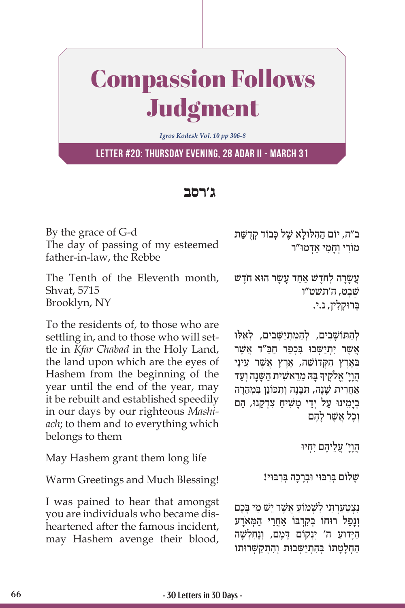## Compassion Follows Judgment

*Igros Kodesh Vol. 10 pp 306-8*

**Letter #20: Thursday evening, 28 Adar II - March 31**

## **ג'רסב**

By the grace of G-d The day of passing of my esteemed father-in-law, the Rebbe

The Tenth of the Eleventh month, Shvat, 5715 Brooklyn, NY

To the residents of, to those who are settling in, and to those who will settle in *Kfar Chabad* in the Holy Land, the land upon which are the eyes of Hashem from the beginning of the year until the end of the year, may it be rebuilt and established speedily in our days by our righteous *Mashiach*; to them and to everything which belongs to them

May Hashem grant them long life

Warm Greetings and Much Blessing!

I was pained to hear that amongst you are individuals who became disheartened after the famous incident, may Hashem avenge their blood, ב״ה, יוֹם הַהְלוּלַא שֵׁל כִּבוֹד קִדְשַּׁת מוֹרי וִחמי אדמוּ״ר

ַעֲשָׂרָה לְחֹדֶשׁ אַחַד עַשַׂר הוּא חֹדַשׁ שׁבט, ה'תשט"ו ְּב ּרו ְק ִלין, נ.י.

לְהַתוֹשָׁבִים, לְהַמְתִיַשָּׁבִים, לְאֵלוּ ַ אַשֶׁר יתִישָׁבוּ בַּכְפַר חַבַּ״ד אַשֶׁר ַ בְּאֶרֶץ הַקְּדוֹשָׁה, אֶרֶץ אֲשֶׁר עֵינֵי ָָהֲוָיָ' אֱלֹקֶיךָ בָּה מֵרֵאשִׁית הַשָּׁנָה וְעַד ְאַחֲרִית שַׁנַה, תִּבְּנֶה וְתִכּוֹנֵן בִּמְהֶרָה בְיַמֵינוּ עַל יְדֵי מַשִׁיחַ צְדָקֵנוּ, הֵם ַוְכַל אַשֶׁר לְהֶם

ְהֵוָי׳ עֲלֵיהֶם יְחָיוּ

שַׁלוֹם בִּרְבּוּי וּבְרָכָה בִּרְבּוּי!

ַנצטערתי לשמוֹע אשר ישׁ מי בַכם וְנַפַל רוּחוֹ בְּקִרְבּוֹ אֲחֲרֵי הַמְּאֹרַע הַיָּדוּעַ ה' יִנְקוֹם דָּמֶם, וְנֶחְלְשָׁה הַחָלָטַתוֹ בִּהְתְיַשְׁבוּת וְהִתְקַשְּׁרוּתוֹ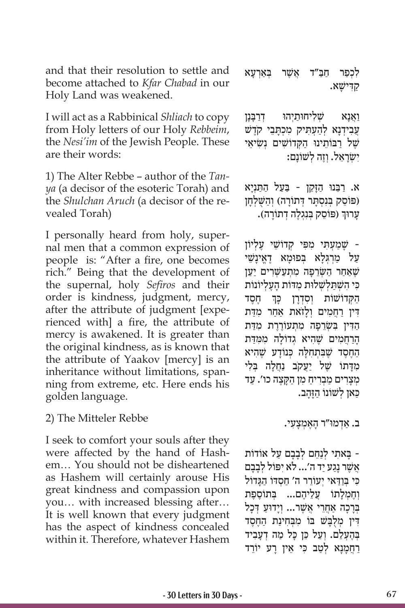and that their resolution to settle and become attached to *Kfar Chabad* in our Holy Land was weakened.

I will act as a Rabbinical *Shliach* to copy from Holy letters of our Holy *Rebbeim*, the *Nesi'im* of the Jewish People. These are their words:

1) The Alter Rebbe – author of the *Tanya* (a decisor of the esoteric Torah) and the *Shulchan Aruch* (a decisor of the revealed Torah)

I personally heard from holy, supernal men that a common expression of people is: "After a fire, one becomes rich." Being that the development of the supernal, holy *Sefiros* and their order is kindness, judgment, mercy, after the attribute of judgment [experienced with] a fire, the attribute of mercy is awakened. It is greater than the original kindness, as is known that the attribute of Yaakov [mercy] is an inheritance without limitations, spanning from extreme, etc. Here ends his golden language.

2) The Mitteler Rebbe

I seek to comfort your souls after they were affected by the hand of Hashem… You should not be disheartened as Hashem will certainly arouse His great kindness and compassion upon you… with increased blessing after… It is well known that every judgment has the aspect of kindness concealed within it. Therefore, whatever Hashem לְכְפַר חַבַּ״ד אֲשֶׁר בְּאַרְעָא ַקִ ּדישָׁ א.

וַאֲנָא *שִׁלְיחוּתַיְהוּ* דְרַבָּנַן ְעֲבִידְנַא לְהַעָתִּיק מִכְתֲבֵי קֹדֵשׁ שֵׁל רבוֹתֵינוּ הקדוֹשׁים נַשׂיאֵי ישַׂראֵל. וְזֶה לְשׁוֹנִם:

ַ א. רֵּב ּנו ַ הָּזֵק ַּ ן - בַע ַ ל ה ַּתְנָיא (פּוֹסֵק בִּנְסְתָּר דְּתוֹרָה) וְהַשָּׁלְחַן ְעָרוּךְ (פּוֹסֵק בְּנִגְלֶה דְתוֹרָה).

- שָׁ ַמ ְע ִּת ִ י מפִּ ְ י קדוֹ שֵׁ ֶ י ע ְליוֹ ן ַ על מִרְגָּלֹא בַּפוּמא דָאֵינשֵׁי שֵׁאַחַר הַשָּׂרֵפַה מְתִעַשִּׁרִים יַעֲן כּי השׁתלשלות מדות העליוֹנוֹת ֧֧֧֖֖֖֖֖֖֖֧֚֚֚֚֚֚֚֚֝֝֬<u>֓</u> ֶ חֶסד הַקְדוֹשׁוֹת וְסְדָרַן דִּין רַחֲמִים וְלַזֹאת אַחַר מִדַּת הַדִּין בְּשָׂרֶפָה מִתְעוֹרֶרֶת מִדַּת הרחמים שֵׁהיא גִדוֹלה ממדת הַחֶסֶד שֶׁבִּתְחִלָּה כְּנוֹדָע שֶׁהִיא מִדָּתוֹ שֵׁל יַעֲקֹב נַחֲלָה בָּלִי מִצַרִים מַבְרִיחַ מִן הַקַּצֵה כו'. עַד ַכַּאן לְשׁוֹנוֹ הַזְּהָב.

ַ ב. אְד ּמו ָ "ר הֶא ְמָצ ִעי.

ָּ - ב ִאת ְ י לַנֵח ְם לָבָב ַם על אוֹ דוֹ ת ֹאֲשֶׁר נַגֲע יַד ה'... לֹא יְפּוֹל לְבָבָם כי בַּוִּדָאי יִעוֹרֵר ה' חִסְדּוֹ הְגַדוֹל וְחֵמְלַתוֹ עֵלֵיהֶם... בִּתוֹסֶפֶת ַבְּרָכָה אָחֲרֵי אֲשֶׁר... וְיַדוּעַ דְּכָל דִין מִלְבַּשׁ בּוֹ מִבְּחִינַת הַחֶסֶד בְּהָעָלֵם. וִעל כֵּן כּל מה דְעָביד ַרְחֲמָנָא לְטַב כִּי אֵין רַע יוֹרֵד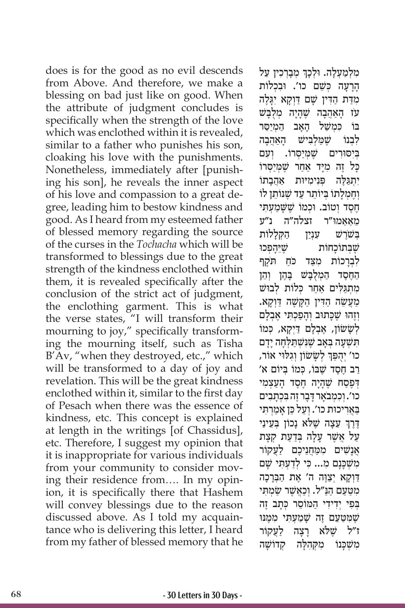does is for the good as no evil descends from Above. And therefore, we make a blessing on bad just like on good. When the attribute of judgment concludes is specifically when the strength of the love which was enclothed within it is revealed, similar to a father who punishes his son, cloaking his love with the punishments. Nonetheless, immediately after [punishing his son], he reveals the inner aspect of his love and compassion to a great degree, leading him to bestow kindness and good. As I heard from my esteemed father of blessed memory regarding the source of the curses in the *Tochacha* which will be transformed to blessings due to the great strength of the kindness enclothed within them, it is revealed specifically after the conclusion of the strict act of judgment, the enclothing garment. This is what the verse states, "I will transform their mourning to joy," specifically transforming the mourning itself, such as Tisha B'Av, "when they destroyed, etc.," which will be transformed to a day of joy and revelation. This will be the great kindness enclothed within it, similar to the first day of Pesach when there was the essence of kindness, etc. This concept is explained at length in the writings [of Chassidus], etc. Therefore, I suggest my opinion that it is inappropriate for various individuals from your community to consider moving their residence from…. In my opinion, it is specifically there that Hashem will convey blessings due to the reason discussed above. As I told my acquaintance who is delivering this letter, I heard from my father of blessed memory that he

֧֧֧֢ׅ֧֚֝<u>֓</u> מִלְמַעָלָה. וּלְכָךְ מְבָרְכִין עַל הָרָעָה כִּשֵׁם כו'. וּבִכְלוֹת מִדַּת הַדִּין שָׁם דַּוְקָא יְגַּלֵה ָ עֹז הַאֲהָבה שֶׁ ָהָי ְ ה מֻלָּבשׁ המיסר *ּבּוֹ כּמשׁל האב* לִבְנוֹ שֵׁמַלְבִּישׁ הָאהָבה בְּיִסוּרִים *שֶׁמְיַ*סְרוֹ. וְעָם ּכָּל זֶה מִיָּד אַחַר שֶׁמְיַסְּרוֹ יִּתְגַּלֶּה פְּנִימִיּוּת אַהֲבָתוֹ וְחֲמָלַתוֹ בִּיוֹתֵר עַד שֵׁנּוֹתֵן לוֹ חסד וטוֹב. וּכמוֹ שַׁשַּׁמעתִי ֵמַאַא ּמו"ר זצלה"ה נ"ע ַבַּשׁׁרַשׁ עַנַין הקללות שַׁ בּתוֹכחוֹת שִׁיּהפכוּ לְבְרַכוֹת מִצַּד כֹּחַ תֹּקֵף החֵסֵד הַמְלִבַּשׁ בָּהֶן וְהֵן מתגלים אחר כִּלוֹת לִבוּשׁ ַמְעֲשֶׂה הַדְּין הַקַּשֶׁה דַּוְקַא. וְזֶהוּ שֶׁכָּתוּב וְהַפַּכְתִּי אֱבְלַם ַלְשַׂשׂוֹן, אֲבְלַם דַיְקַא, כִּמוֹ תִשְׁעָה בְּאַב שֶׁנִּשְׁתַלְחָה יַדַם ֺ֖֖֧֖֧֚֚֚֚֚֚֚֚֚֚֚֚֚֚֚֚֚֚֚֚֚֚֝֓֝֓֞֬֝֬֝֓֬֝֓֬֝֓֬֝֓֬֝֬֝֓֬֝֓֬֝֓֬֝֬֝֬֝֬֝֬֝֬֝֓֬֝֬֝֬֝֬֝֬֝֬֝֬֝֬֝֬֝֬֝֬ כו' יְהֻפַּךְ לְשָׂשׂוֹן וְגִלּוּי אוֹר, ַרֲב חֶסֶד שֶׁבּוֹ, כְּמוֹ בְּיוֹם א' דְּפֵסַח שֶׁהָיָה חֶסֶד הַעֲצָמִי כו'. וְכִמְבֹאֵר דָּבָר זֶה בְּכְתַבִים ַבְּאֲרִיכוּת כו'. וְעַל כֵּן אַמַרְתִּי ׇׅ֧֧֖֖֖֖֖֖֖֖֧֪֪֪ׅ֧֧֧֧֧֧֧֧֧֧֧֧֧֧֚֚֚֚֚֚֚֚֚֚֚֚֚֚֚֚֓֝֬֝֓֞֟֓֓֞֝֬֝֬֝֓֝֬֝֬֝֬֝֬֝֬֝֬֝֬֝֬֝֬֝֬֝֬ ֶדֶרֶךְ עֵצָה שֶׁלֹּא נָכוֹן בְּעֵינַי ַעֲל אֱשֶׁר עַלַה בְּדַעַת קִצַּת אַנשׁים ממחניכם לעקור מִשְׁכַּנָם מִ... כִּי לְדַעָתִּי שָׁם ַדִּוְקָא יְצַוֶּה ה' אֶת הַבְּרָכָה מִטַּעַם הַנַּ״ל. וְכַאֲשֶׁר שַׂמְתִּי בְּפִי יִדְידִי הַמּוֹסֶר כִּתֲב זֶה שֶׁמַּטַעַם זֶה שַׁמַעָתִי מִמֵּנּוּ ז״ל שֵׁלֹא רצה לעקוֹר מִשְׁכָּנוֹ מִקְהִלָּה קְדוֹשָׁה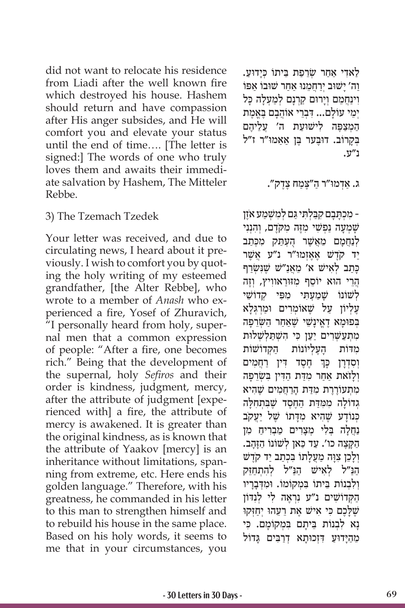did not want to relocate his residence from Liadi after the well known fire which destroyed his house. Hashem should return and have compassion after His anger subsides, and He will comfort you and elevate your status until the end of time…. [The letter is signed:] The words of one who truly loves them and awaits their immediate salvation by Hashem, The Mitteler Rebbe.

## 3) The Tzemach Tzedek

Your letter was received, and due to circulating news, I heard about it previously. I wish to comfort you by quoting the holy writing of my esteemed grandfather, [the Alter Rebbe], who wrote to a member of *Anash* who experienced a fire, Yosef of Zhuravich, "I personally heard from holy, supernal men that a common expression of people: "After a fire, one becomes rich." Being that the development of the supernal, holy *Sefiros* and their order is kindness, judgment, mercy, after the attribute of judgment [experienced with] a fire, the attribute of mercy is awakened. It is greater than the original kindness, as is known that the attribute of Yaakov [mercy] is an inheritance without limitations, spanning from extreme, etc. Here ends his golden language." Therefore, with his greatness, he commanded in his letter to this man to strengthen himself and to rebuild his house in the same place. Based on his holy words, it seems to me that in your circumstances, you

ַלַאדִי אַחַר שָׂרֵפַת בֵּיתוֹ כִּיַדוּעַ. וה' ישׁוּב ירחמנו אחר שוּבוֹ אפּוֹ וִינַחֲמֵם וְיַרוּם קַרְנַם לְמַעָלַה כָּל יִמֵי עוֹלַם... דְּבְרֵי אוֹהֲבָם בָּאֱמֶת הַמְצַפֶּה לִישׁוּעַת ה' עַלֵיהם בִּקְרוֹב. דוּבֵעַר בֵּן אַאמוּ"ר ז"ל נ"ע.

ַ ג. אְד ּמו ַ "ר ה ֶּ"צַמ ֶח צֶדק".

-ִ מ ְכָּתָב ִם קַּב ְל ִּת ַּי ג ְם ל ִמשׁ ְ ַמ ֶ ע אֹזן שָׁמְעָה נַפְשִׁי מֵזֶּה מְקֹדֶם, וְהָנְנִי לִנְחָמֵם מֵאָשֶׁר הָעָתַּק מַכְּתֹב ַיִר קֹדֶשׁ אֶאֶזְמוּ״ר נ״ע אֲשֵׁר ָכְּתָב לְאִישׁ א' מֶאֲנַ"שׁ שֶׁנִּשְׂרַף הֲרֵי הוּא יוֹסֵף מִזּוּרַאווִיץ, וְזֶה לְשׁוֹנוֹ שַׁמַעָת<sup>ָ,</sup> מִפִּי קדוֹשֵׁי ַעליוֹן על שַׁאוֹמרים וּמִרגִּלֹא בְּפוּמַא דָאֵינָשֵׁי שֵׁאַחַר הַשָּׂרֵפָה מתעשרים יען כי השתלשלות מדות העליונות הקדושות ׅ֧֖֖֖֖֖֖֖֖֧ׅ֖֧֧֧֧֧֧֧֧֧֧֧֧֧֚֚֚֚֚֚֚֚֚֚֚֚֚֚֚֚֓֝֬֝֓֓֓֞֬֝֓֓֞֬֓֓֞֓֬֝֓֓֞֓֝֬֓֝֬֝֬֝֬֝֬֝֬֝֬֝֬֝֬֝֬֝֬֝֬ וְסִדְרָן כְּךְ חֶסֶד דִּין רַחֲמִים וְלַזֹאת אַחֲר מִדַּת הַדִּין בְּשָׂרֶפַּה מִתְעוֹרֵרֶת מִדָּת הַרַחֲמִים שֶׁהִיא גְדוֹלָה מִמְדַּת הַחֶסֶד שֶׁבִּתְחִלָּה כִּנוֹדָע שֶׁהִיא מִדַּתוֹ שֵׁל יַעֲקֹב ַנְחַלָּה בַּלִי מַצִרים מַבְריִח מַן ַה ָּקֶצ ַ ה כו'. ע ַד כּ ְ אן ל ַ שׁ וֹ נוֹ הָּזָהב. ולכן צוּה מעלתו בכתב יד קדש הַנּ״ל לאישׁ הנּ״ל להתחזק ולבְנוֹת בֵּיתוֹ במַקוֹמוֹ. ומִדְבַריו הַקְדוֹשִׁים נ״ע נִרְאֱה לִי לִנְדּוֹן ּשֶׁלָּכֶם כִּי אִישׁ אֶת רֵעֵהוּ יְחַזְּקוּ ָנא לבנוֹת ביתם במקוֹמם. כי ּמֵהַיָּדוֹעַ דִּזְכוּתָא דְרַבִּים גָּדוֹל